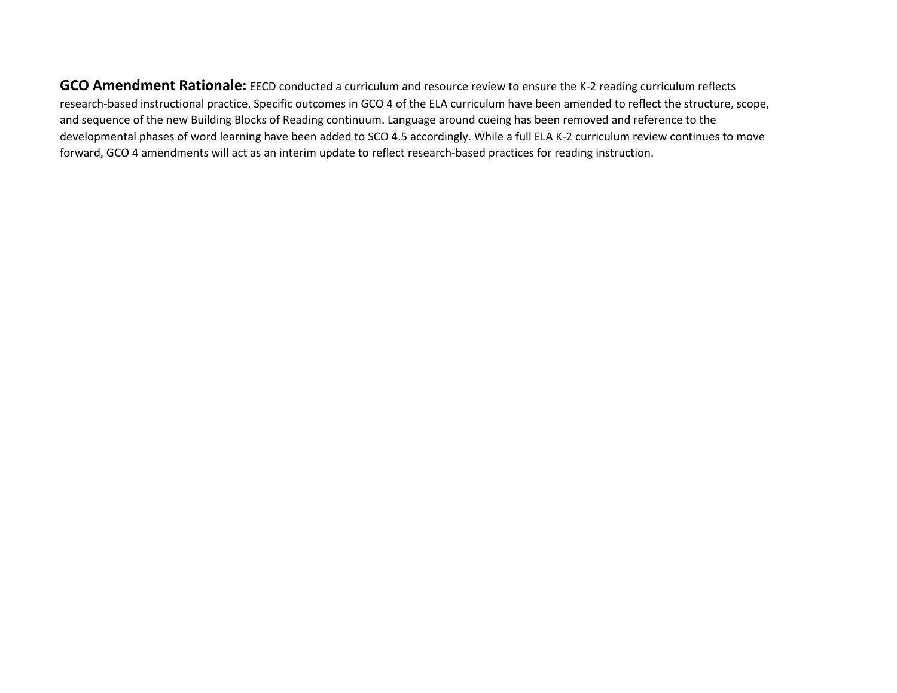**GCO Amendment Rationale:** EECD conducted a curriculum and resource review to ensure the K-2 reading curriculum reflects research-based instructional practice. Specific outcomes in GCO 4 of the ELA curriculum have been amended to reflect the structure, scope, and sequence of the new Building Blocks of Reading continuum. Language around cueing has been removed and reference to the developmental phases of word learning have been added to SCO 4.5 accordingly. While a full ELA K-2 curriculum review continues to move forward, GCO 4 amendments will act as an interim update to reflect research-based practices for reading instruction.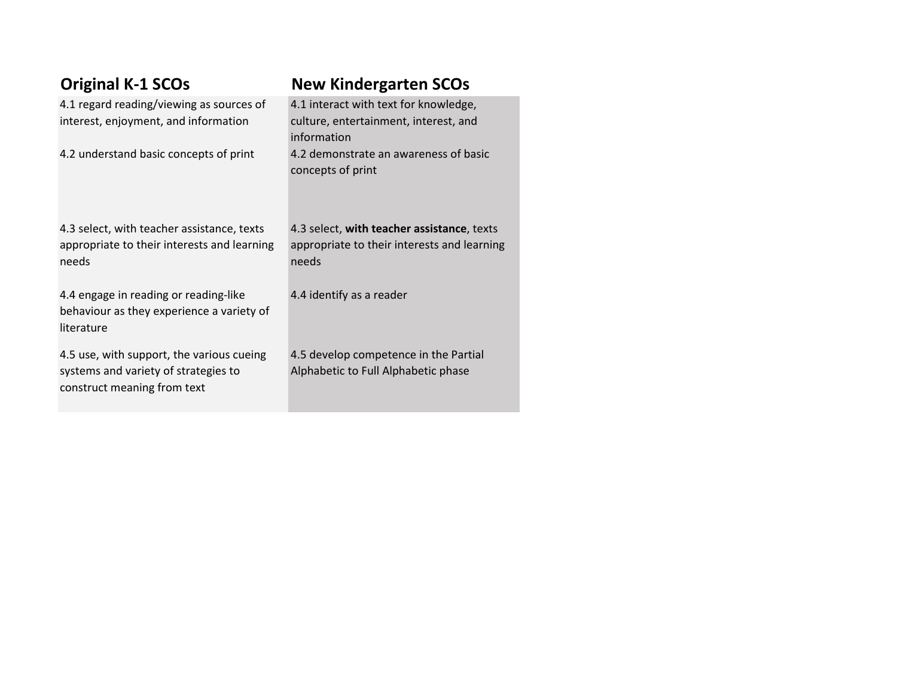| <b>Original K-1 SCOs</b>                                                                                         | <b>New Kindergarten SCOs</b>                                                                       |
|------------------------------------------------------------------------------------------------------------------|----------------------------------------------------------------------------------------------------|
| 4.1 regard reading/viewing as sources of<br>interest, enjoyment, and information                                 | 4.1 interact with text for knowledge,<br>culture, entertainment, interest, and<br>information      |
| 4.2 understand basic concepts of print                                                                           | 4.2 demonstrate an awareness of basic<br>concepts of print                                         |
| 4.3 select, with teacher assistance, texts<br>appropriate to their interests and learning<br>needs               | 4.3 select, with teacher assistance, texts<br>appropriate to their interests and learning<br>needs |
| 4.4 engage in reading or reading-like<br>behaviour as they experience a variety of<br>literature                 | 4.4 identify as a reader                                                                           |
| 4.5 use, with support, the various cueing<br>systems and variety of strategies to<br>construct meaning from text | 4.5 develop competence in the Partial<br>Alphabetic to Full Alphabetic phase                       |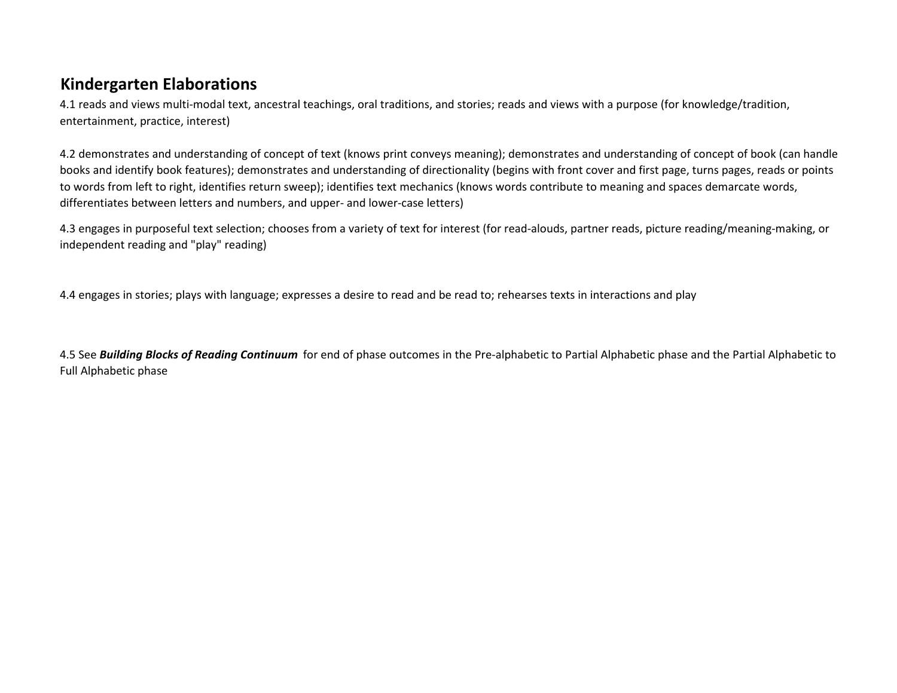## **Kindergarten Elaborations**

4.1 reads and views multi-modal text, ancestral teachings, oral traditions, and stories; reads and views with a purpose (for knowledge/tradition, entertainment, practice, interest)

4.2 demonstrates and understanding of concept of text (knows print conveys meaning); demonstrates and understanding of concept of book (can handle books and identify book features); demonstrates and understanding of directionality (begins with front cover and first page, turns pages, reads or points to words from left to right, identifies return sweep); identifies text mechanics (knows words contribute to meaning and spaces demarcate words, differentiates between letters and numbers, and upper- and lower-case letters)

4.3 engages in purposeful text selection; chooses from a variety of text for interest (for read-alouds, partner reads, picture reading/meaning-making, or independent reading and "play" reading)

4.4 engages in stories; plays with language; expresses a desire to read and be read to; rehearses texts in interactions and play

4.5 See *Building Blocks of Reading Continuum* for end of phase outcomes in the Pre-alphabetic to Partial Alphabetic phase and the Partial Alphabetic to Full Alphabetic phase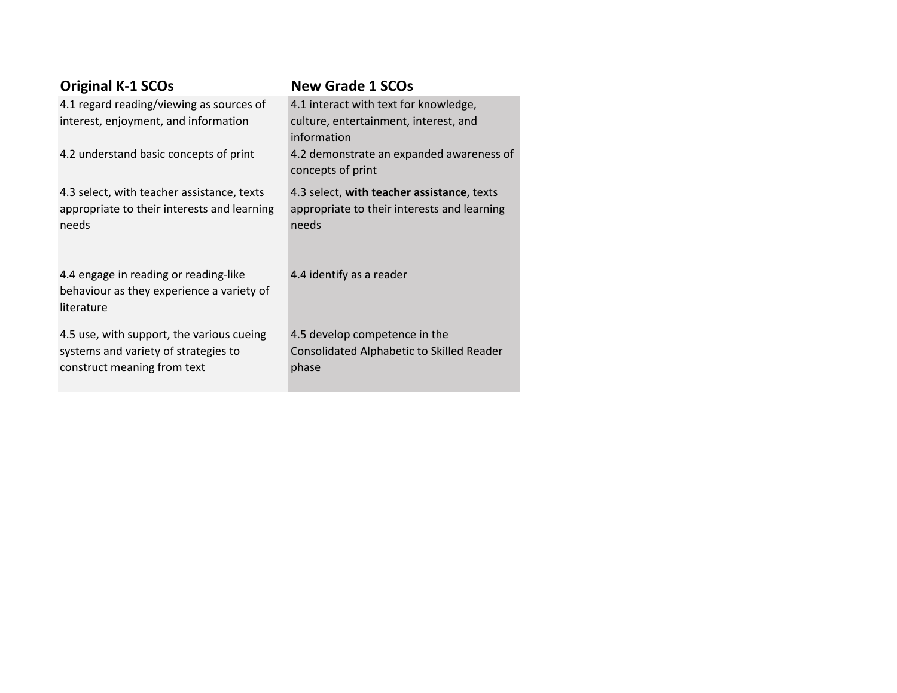| <b>Original K-1 SCOs</b>                                                                                         | <b>New Grade 1 SCOs</b>                                                                            |
|------------------------------------------------------------------------------------------------------------------|----------------------------------------------------------------------------------------------------|
| 4.1 regard reading/viewing as sources of<br>interest, enjoyment, and information                                 | 4.1 interact with text for knowledge,<br>culture, entertainment, interest, and<br>information      |
| 4.2 understand basic concepts of print                                                                           | 4.2 demonstrate an expanded awareness of<br>concepts of print                                      |
| 4.3 select, with teacher assistance, texts<br>appropriate to their interests and learning<br>needs               | 4.3 select, with teacher assistance, texts<br>appropriate to their interests and learning<br>needs |
| 4.4 engage in reading or reading-like<br>behaviour as they experience a variety of<br>literature                 | 4.4 identify as a reader                                                                           |
| 4.5 use, with support, the various cueing<br>systems and variety of strategies to<br>construct meaning from text | 4.5 develop competence in the<br>Consolidated Alphabetic to Skilled Reader<br>phase                |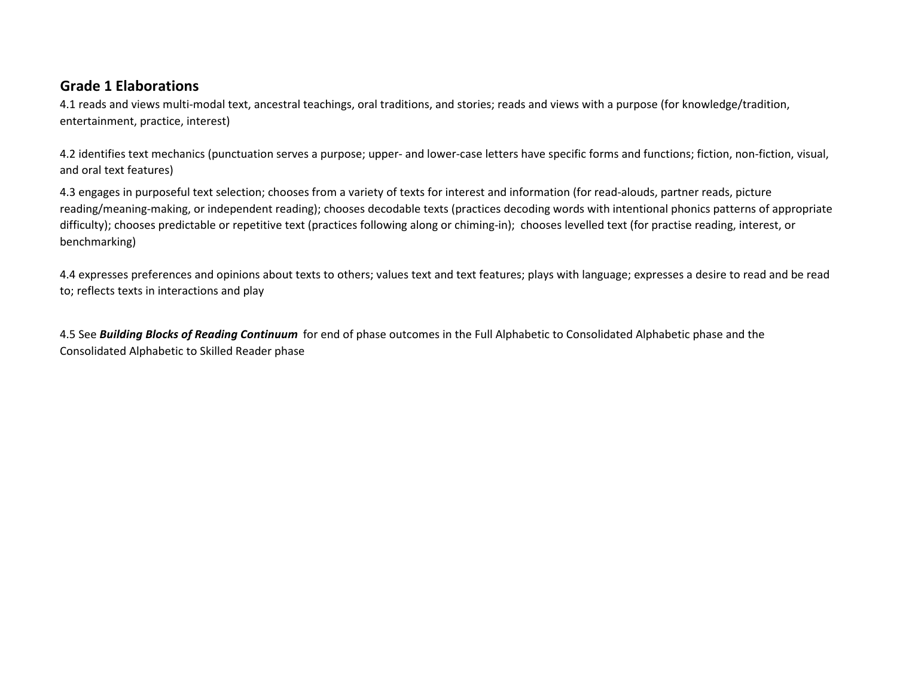## **Grade 1 Elaborations**

4.1 reads and views multi-modal text, ancestral teachings, oral traditions, and stories; reads and views with a purpose (for knowledge/tradition, entertainment, practice, interest)

4.2 identifies text mechanics (punctuation serves a purpose; upper- and lower-case letters have specific forms and functions; fiction, non-fiction, visual, and oral text features)

4.3 engages in purposeful text selection; chooses from a variety of texts for interest and information (for read-alouds, partner reads, picture reading/meaning-making, or independent reading); chooses decodable texts (practices decoding words with intentional phonics patterns of appropriate difficulty); chooses predictable or repetitive text (practices following along or chiming-in); chooses levelled text (for practise reading, interest, or benchmarking)

4.4 expresses preferences and opinions about texts to others; values text and text features; plays with language; expresses a desire to read and be read to; reflects texts in interactions and play

4.5 See *Building Blocks of Reading Continuum* for end of phase outcomes in the Full Alphabetic to Consolidated Alphabetic phase and the Consolidated Alphabetic to Skilled Reader phase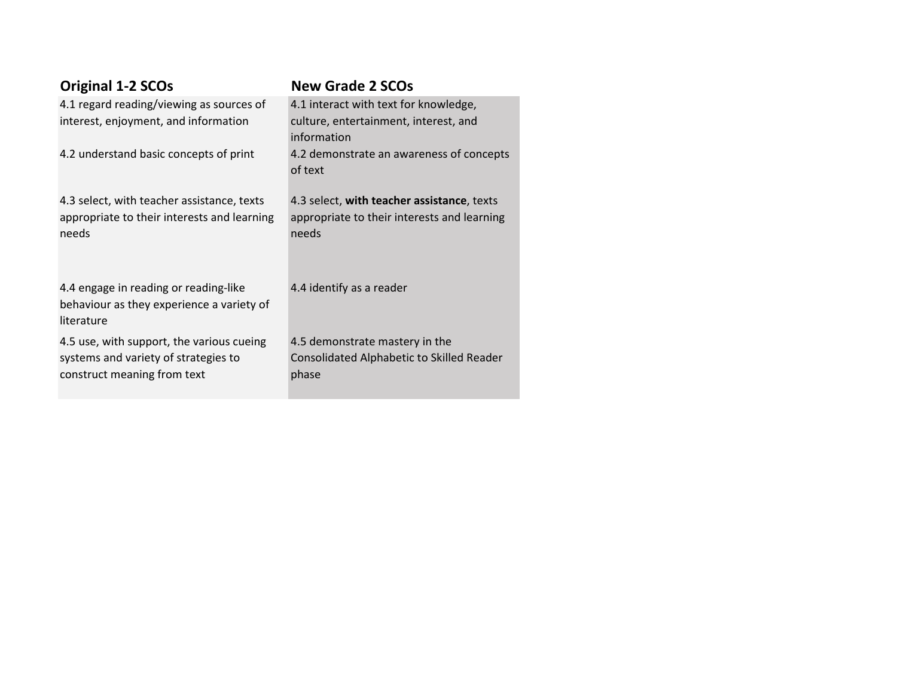| <b>Original 1-2 SCOs</b>                                                                                         | <b>New Grade 2 SCOs</b>                                                                            |
|------------------------------------------------------------------------------------------------------------------|----------------------------------------------------------------------------------------------------|
| 4.1 regard reading/viewing as sources of                                                                         | 4.1 interact with text for knowledge,                                                              |
| interest, enjoyment, and information                                                                             | culture, entertainment, interest, and<br>information                                               |
| 4.2 understand basic concepts of print                                                                           | 4.2 demonstrate an awareness of concepts<br>of text                                                |
| 4.3 select, with teacher assistance, texts<br>appropriate to their interests and learning<br>needs               | 4.3 select, with teacher assistance, texts<br>appropriate to their interests and learning<br>needs |
| 4.4 engage in reading or reading-like<br>behaviour as they experience a variety of<br>literature                 | 4.4 identify as a reader                                                                           |
| 4.5 use, with support, the various cueing<br>systems and variety of strategies to<br>construct meaning from text | 4.5 demonstrate mastery in the<br>Consolidated Alphabetic to Skilled Reader<br>phase               |